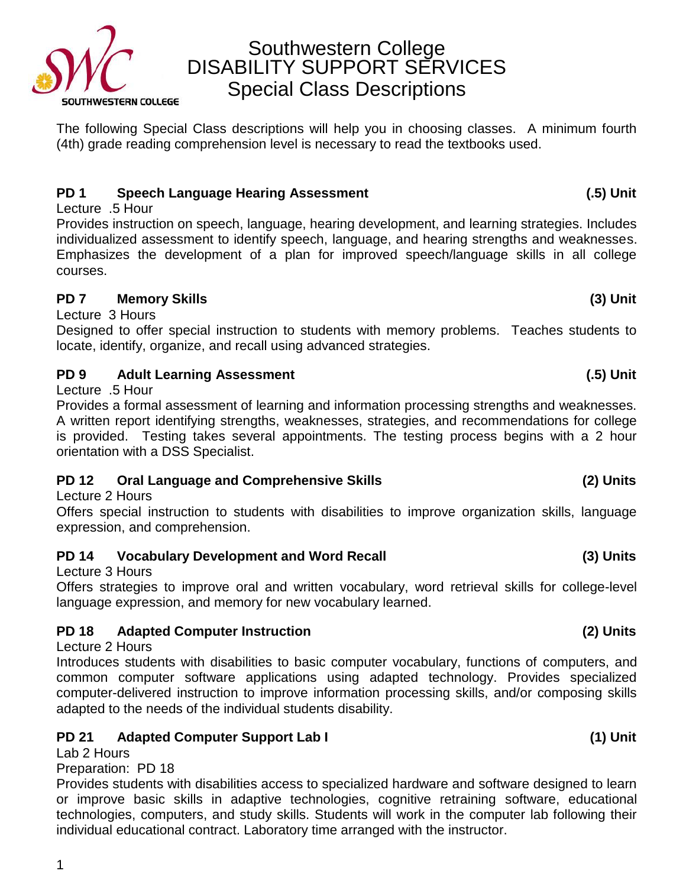Southwestern College DISABILITY SUPPORT SERVICES Special Class Descriptions **SOUTHWESTERN COLLEGE** 

The following Special Class descriptions will help you in choosing classes. A minimum fourth (4th) grade reading comprehension level is necessary to read the textbooks used.

### **PD 1 Speech Language Hearing Assessment (.5) Unit**

Lecture .5 Hour

Provides instruction on speech, language, hearing development, and learning strategies. Includes individualized assessment to identify speech, language, and hearing strengths and weaknesses. Emphasizes the development of a plan for improved speech/language skills in all college courses.

### **PD 7 Memory Skills (3) Unit**

Lecture 3 Hours

Designed to offer special instruction to students with memory problems. Teaches students to locate, identify, organize, and recall using advanced strategies.

### **PD 9 Adult Learning Assessment (.5) Unit**

Lecture .5 Hour

Provides a formal assessment of learning and information processing strengths and weaknesses. A written report identifying strengths, weaknesses, strategies, and recommendations for college is provided. Testing takes several appointments. The testing process begins with a 2 hour orientation with a DSS Specialist.

## **PD 12 Oral Language and Comprehensive Skills (2) Units**

Lecture 2 Hours

Offers special instruction to students with disabilities to improve organization skills, language expression, and comprehension.

## **PD 14 Vocabulary Development and Word Recall (3) Units**

Lecture 3 Hours

Offers strategies to improve oral and written vocabulary, word retrieval skills for college-level language expression, and memory for new vocabulary learned.

## **PD 18 Adapted Computer Instruction (2) Units**

Lecture 2 Hours

Introduces students with disabilities to basic computer vocabulary, functions of computers, and common computer software applications using adapted technology. Provides specialized computer-delivered instruction to improve information processing skills, and/or composing skills adapted to the needs of the individual students disability.

## **PD 21 Adapted Computer Support Lab I (1) Unit**

Lab 2 Hours

Preparation: PD 18

Provides students with disabilities access to specialized hardware and software designed to learn or improve basic skills in adaptive technologies, cognitive retraining software, educational technologies, computers, and study skills. Students will work in the computer lab following their individual educational contract. Laboratory time arranged with the instructor.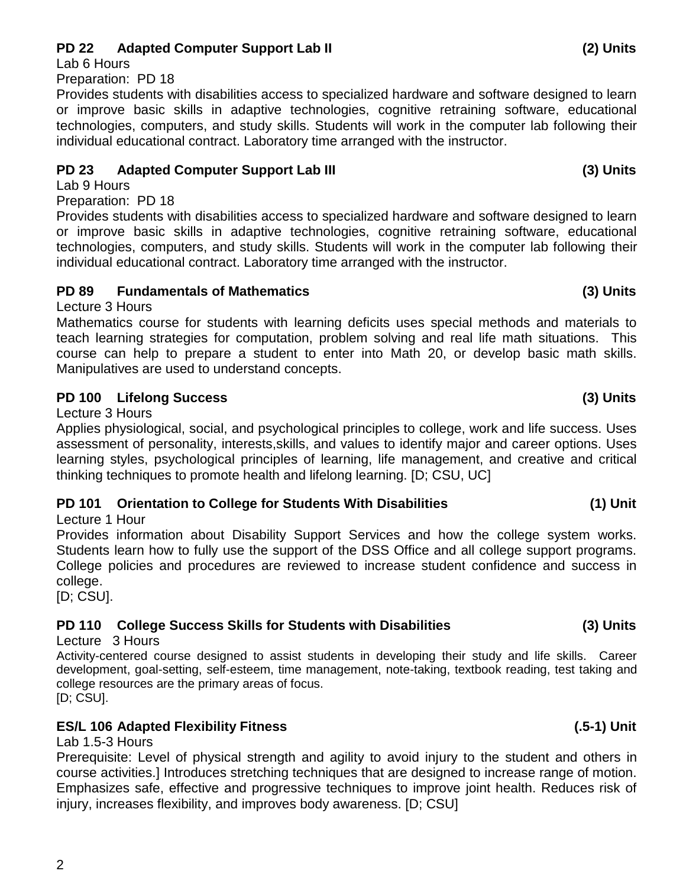## **PD 22 Adapted Computer Support Lab II (2) Units**

Lab 6 Hours

Preparation: PD 18

Provides students with disabilities access to specialized hardware and software designed to learn or improve basic skills in adaptive technologies, cognitive retraining software, educational technologies, computers, and study skills. Students will work in the computer lab following their individual educational contract. Laboratory time arranged with the instructor.

### **PD 23 Adapted Computer Support Lab III (3) Units**

Lab 9 Hours

Preparation: PD 18

Provides students with disabilities access to specialized hardware and software designed to learn or improve basic skills in adaptive technologies, cognitive retraining software, educational technologies, computers, and study skills. Students will work in the computer lab following their individual educational contract. Laboratory time arranged with the instructor.

### **PD 89 Fundamentals of Mathematics (3) Units**

Lecture 3 Hours

Mathematics course for students with learning deficits uses special methods and materials to teach learning strategies for computation, problem solving and real life math situations. This course can help to prepare a student to enter into Math 20, or develop basic math skills. Manipulatives are used to understand concepts.

## **PD 100 Lifelong Success (3) Units**

Lecture 3 Hours

Applies physiological, social, and psychological principles to college, work and life success. Uses assessment of personality, interests,skills, and values to identify major and career options. Uses learning styles, psychological principles of learning, life management, and creative and critical thinking techniques to promote health and lifelong learning. [D; CSU, UC]

## **PD 101 Orientation to College for Students With Disabilities (1) Unit**

Lecture 1 Hour

Provides information about Disability Support Services and how the college system works. Students learn how to fully use the support of the DSS Office and all college support programs. College policies and procedures are reviewed to increase student confidence and success in college.

[D; CSU].

## **PD 110 College Success Skills for Students with Disabilities (3) Units**

Lecture 3 Hours

Activity-centered course designed to assist students in developing their study and life skills. Career development, goal-setting, self-esteem, time management, note-taking, textbook reading, test taking and college resources are the primary areas of focus.

[D; CSU].

## **ES/L 106 Adapted Flexibility Fitness (.5-1) Unit**

Lab 1.5-3 Hours

Prerequisite: Level of physical strength and agility to avoid injury to the student and others in course activities.] Introduces stretching techniques that are designed to increase range of motion. Emphasizes safe, effective and progressive techniques to improve joint health. Reduces risk of injury, increases flexibility, and improves body awareness. [D; CSU]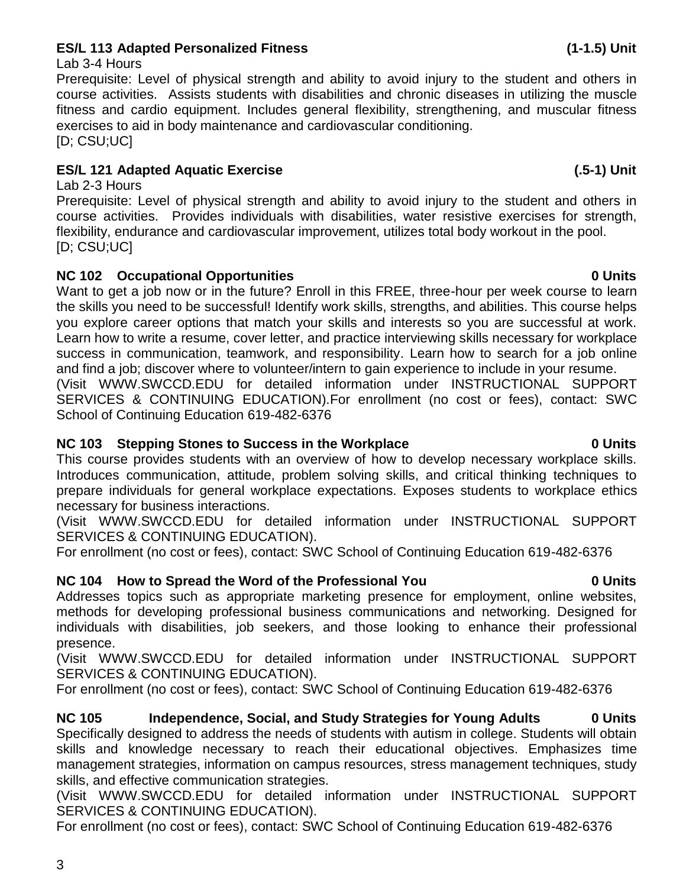# **ES/L 113 Adapted Personalized Fitness (1-1.5) Unit**

## Lab 3-4 Hours

Prerequisite: Level of physical strength and ability to avoid injury to the student and others in course activities. Assists students with disabilities and chronic diseases in utilizing the muscle fitness and cardio equipment. Includes general flexibility, strengthening, and muscular fitness exercises to aid in body maintenance and cardiovascular conditioning. [D; CSU;UC]

# **ES/L 121 Adapted Aquatic Exercise (.5-1) Unit**

Lab 2-3 Hours Prerequisite: Level of physical strength and ability to avoid injury to the student and others in course activities. Provides individuals with disabilities, water resistive exercises for strength, flexibility, endurance and cardiovascular improvement, utilizes total body workout in the pool. [D; CSU;UC]

# **NC 102 Occupational Opportunities 0 Units**

Want to get a job now or in the future? Enroll in this FREE, three-hour per week course to learn the skills you need to be successful! Identify work skills, strengths, and abilities. This course helps you explore career options that match your skills and interests so you are successful at work. Learn how to write a resume, cover letter, and practice interviewing skills necessary for workplace success in communication, teamwork, and responsibility. Learn how to search for a job online and find a job; discover where to volunteer/intern to gain experience to include in your resume. (Visit WWW.SWCCD.EDU for detailed information under INSTRUCTIONAL SUPPORT SERVICES & CONTINUING EDUCATION).For enrollment (no cost or fees), contact: SWC School of Continuing Education 619-482-6376

# **NC 103 Stepping Stones to Success in the Workplace 0 Units**

This course provides students with an overview of how to develop necessary workplace skills. Introduces communication, attitude, problem solving skills, and critical thinking techniques to prepare individuals for general workplace expectations. Exposes students to workplace ethics necessary for business interactions.

(Visit WWW.SWCCD.EDU for detailed information under INSTRUCTIONAL SUPPORT SERVICES & CONTINUING EDUCATION).

For enrollment (no cost or fees), contact: SWC School of Continuing Education 619-482-6376

# **NC 104 How to Spread the Word of the Professional You 0 Units**

Addresses topics such as appropriate marketing presence for employment, online websites, methods for developing professional business communications and networking. Designed for individuals with disabilities, job seekers, and those looking to enhance their professional presence.

(Visit WWW.SWCCD.EDU for detailed information under INSTRUCTIONAL SUPPORT SERVICES & CONTINUING EDUCATION).

For enrollment (no cost or fees), contact: SWC School of Continuing Education 619-482-6376

**NC 105 Independence, Social, and Study Strategies for Young Adults 0 Units** Specifically designed to address the needs of students with autism in college. Students will obtain skills and knowledge necessary to reach their educational objectives. Emphasizes time management strategies, information on campus resources, stress management techniques, study skills, and effective communication strategies.

(Visit WWW.SWCCD.EDU for detailed information under INSTRUCTIONAL SUPPORT SERVICES & CONTINUING EDUCATION).

For enrollment (no cost or fees), contact: SWC School of Continuing Education 619-482-6376